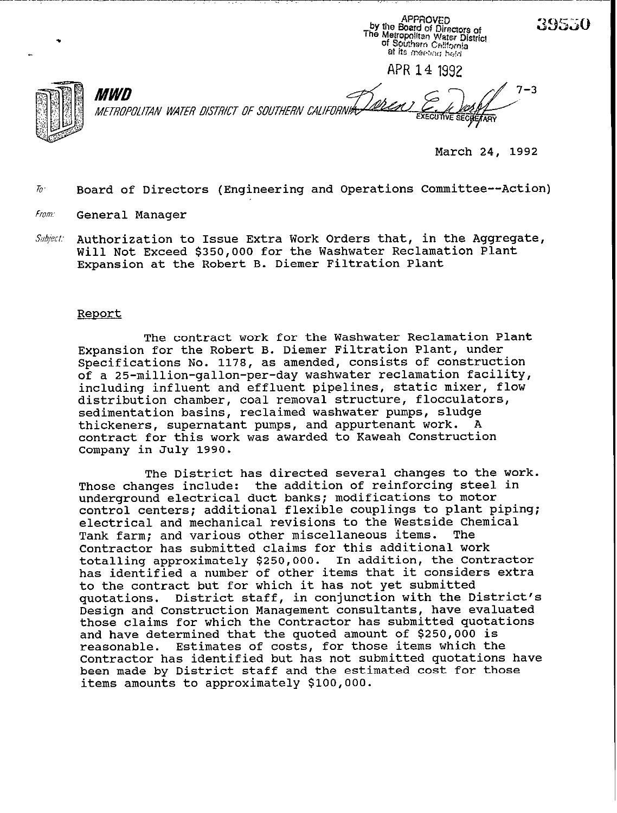APPROVED APPROVED<br>by the Board of Directors of<br>The Metropolitan Water District<br>of Southern California<br>at its messing bald at its meeting held **APR 14** <sup>1992</sup>



.

L

 $7 - 3$ *MWD IWX'PO~K~N WAi-Ei? DISTRICT OF SOUTHERN CAL*  **SECTE ARY** 

March 24, 1992

39550

Board of Directors (Engineering and Operations Committee--Action)  $\bar{p}$ 

in the control of the control

a di Gali di San

- from. General Manager
- *S//b;eci*  Authorization to Issue Extra Work Orders that, in the Aggregate, Will Not Exceed \$350,000 for the Washwater Reclamation Plant Expansion at the Robert B. Diemer Filtration Plant

### Report

The contract work for the Washwater Reclamation Plant Expansion for the Robert B. Diemer Filtration Plant, under Specifications No. 1178, as amended, consists of construction of a 25-million-gallon-per-day washwater reclamation facility, including influent and effluent pipelines, static mixer, flow distribution chamber, coal removal structure, flocculators, sedimentation basins, reclaimed washwater pumps, sludge thickeners, supernatant pumps, and appurtenant work. contract for this work was awarded to Kaweah Construction Company in July 1990.

The District has directed several changes to the work. Those changes include: the addition of reinforcing steel in underground electrical duct banks; modifications to motor control centers; additional flexible couplings to plant piping; electrical and mechanical revisions to the Westside Chemical<br>Tank farm: and various other miscellaneous items. The Tank farm; and various other miscellaneous items. Contractor has submitted claims for this additional work totalling approximately \$250,000. In addition, the Contractor has identified a number of other items that it considers extra to the contract but for which it has not yet submitted quotations. District staff, in conjunction with the D. District staff, in conjunction with the District's Design and Construction Management consultants, have evaluated those claims for which the Contractor has submitted quotations and have determined that the quoted amount of \$250,000 is Estimates of costs, for those items which the Contractor has identified but has not submitted quotations have been made by District staff and the estimated cost for those items amounts to approximately \$100,000.